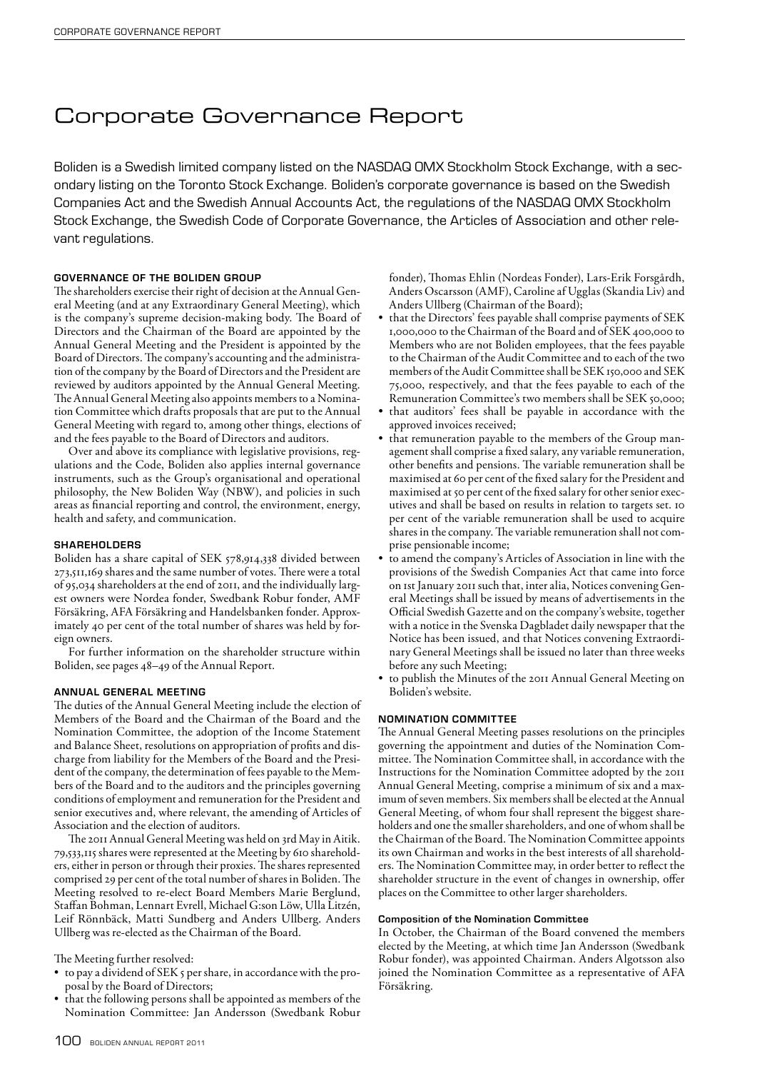# Corporate Governance Report

Boliden is a Swedish limited company listed on the NASDAQ OMX Stockholm Stock Exchange, with a secondary listing on the Toronto Stock Exchange. Boliden's corporate governance is based on the Swedish Companies Act and the Swedish Annual Accounts Act, the regulations of the NASDAQ OMX Stockholm Stock Exchange, the Swedish Code of Corporate Governance, the Articles of Association and other relevant regulations.

# GOVERNANCE OF THE BOLIDEN GROUP

The shareholders exercise their right of decision at the Annual General Meeting (and at any Extraordinary General Meeting), which is the company's supreme decision-making body. The Board of Directors and the Chairman of the Board are appointed by the Annual General Meeting and the President is appointed by the Board of Directors. The company's accounting and the administration of the company by the Board of Directors and the President are reviewed by auditors appointed by the Annual General Meeting. The Annual General Meeting also appoints members to a Nomination Committee which drafts proposals that are put to the Annual General Meeting with regard to, among other things, elections of and the fees payable to the Board of Directors and auditors.

Over and above its compliance with legislative provisions, regulations and the Code, Boliden also applies internal governance instruments, such as the Group's organisational and operational philosophy, the New Boliden Way (NBW), and policies in such areas as financial reporting and control, the environment, energy, health and safety, and communication.

#### SHAREHOLDERS

Boliden has a share capital of SEK 578,914,338 divided between 273,511,169 shares and the same number of votes. There were a total of 95,034 shareholders at the end of 2011, and the individually largest owners were Nordea fonder, Swedbank Robur fonder, AMF Försäkring, AFA Försäkring and Handelsbanken fonder. Approximately 40 per cent of the total number of shares was held by foreign owners.

For further information on the shareholder structure within Boliden, see pages 48–49 of the Annual Report.

### Annual General Meeting

The duties of the Annual General Meeting include the election of Members of the Board and the Chairman of the Board and the Nomination Committee, the adoption of the Income Statement and Balance Sheet, resolutions on appropriation of profits and discharge from liability for the Members of the Board and the President of the company, the determination of fees payable to the Members of the Board and to the auditors and the principles governing conditions of employment and remuneration for the President and senior executives and, where relevant, the amending of Articles of Association and the election of auditors.

The 2011 Annual General Meeting was held on 3rd May in Aitik. 79,533,115 shares were represented at the Meeting by 610 shareholders, either in person or through their proxies. The shares represented comprised 29 per cent of the total number of shares in Boliden. The Meeting resolved to re-elect Board Members Marie Berglund, Staffan Bohman, Lennart Evrell, Michael G:son Löw, Ulla Litzén, Leif Rönnbäck, Matti Sundberg and Anders Ullberg. Anders Ullberg was re-elected as the Chairman of the Board.

The Meeting further resolved:

- to pay a dividend of SEK 5 per share, in accordance with the proposal by the Board of Directors;
- that the following persons shall be appointed as members of the Nomination Committee: Jan Andersson (Swedbank Robur

fonder), Thomas Ehlin (Nordeas Fonder), Lars-Erik Forsgårdh, Anders Oscarsson (AMF), Caroline af Ugglas (Skandia Liv) and Anders Ullberg (Chairman of the Board);

- that the Directors' fees payable shall comprise payments of SEK 1,000,000 to the Chairman of the Board and of SEK 400,000 to Members who are not Boliden employees, that the fees payable to the Chairman of the Audit Committee and to each of the two members of the Audit Committee shall be SEK 150,000 and SEK 75,000, respectively, and that the fees payable to each of the Remuneration Committee's two members shall be SEK 50,000;
- that auditors' fees shall be payable in accordance with the approved invoices received;
- that remuneration payable to the members of the Group management shall comprise a fixed salary, any variable remuneration, other benefits and pensions. The variable remuneration shall be maximised at 60 per cent of the fixed salary for the President and maximised at 50 per cent of the fixed salary for other senior executives and shall be based on results in relation to targets set. 10 per cent of the variable remuneration shall be used to acquire shares in the company. The variable remuneration shall not comprise pensionable income;
- to amend the company's Articles of Association in line with the provisions of the Swedish Companies Act that came into force on 1st January 2011 such that, inter alia, Notices convening General Meetings shall be issued by means of advertisements in the Official Swedish Gazette and on the company's website, together with a notice in the Svenska Dagbladet daily newspaper that the Notice has been issued, and that Notices convening Extraordinary General Meetings shall be issued no later than three weeks before any such Meeting;
- to publish the Minutes of the 2011 Annual General Meeting on Boliden's website.

# NOMINATION COMMITTEE

The Annual General Meeting passes resolutions on the principles governing the appointment and duties of the Nomination Committee. The Nomination Committee shall, in accordance with the Instructions for the Nomination Committee adopted by the 2011 Annual General Meeting, comprise a minimum of six and a maximum of seven members. Six members shall be elected at the Annual General Meeting, of whom four shall represent the biggest shareholders and one the smaller shareholders, and one of whom shall be the Chairman of the Board. The Nomination Committee appoints its own Chairman and works in the best interests of all shareholders. The Nomination Committee may, in order better to reflect the shareholder structure in the event of changes in ownership, offer places on the Committee to other larger shareholders.

#### Composition of the Nomination Committee

In October, the Chairman of the Board convened the members elected by the Meeting, at which time Jan Andersson (Swedbank Robur fonder), was appointed Chairman. Anders Algotsson also joined the Nomination Committee as a representative of AFA Försäkring.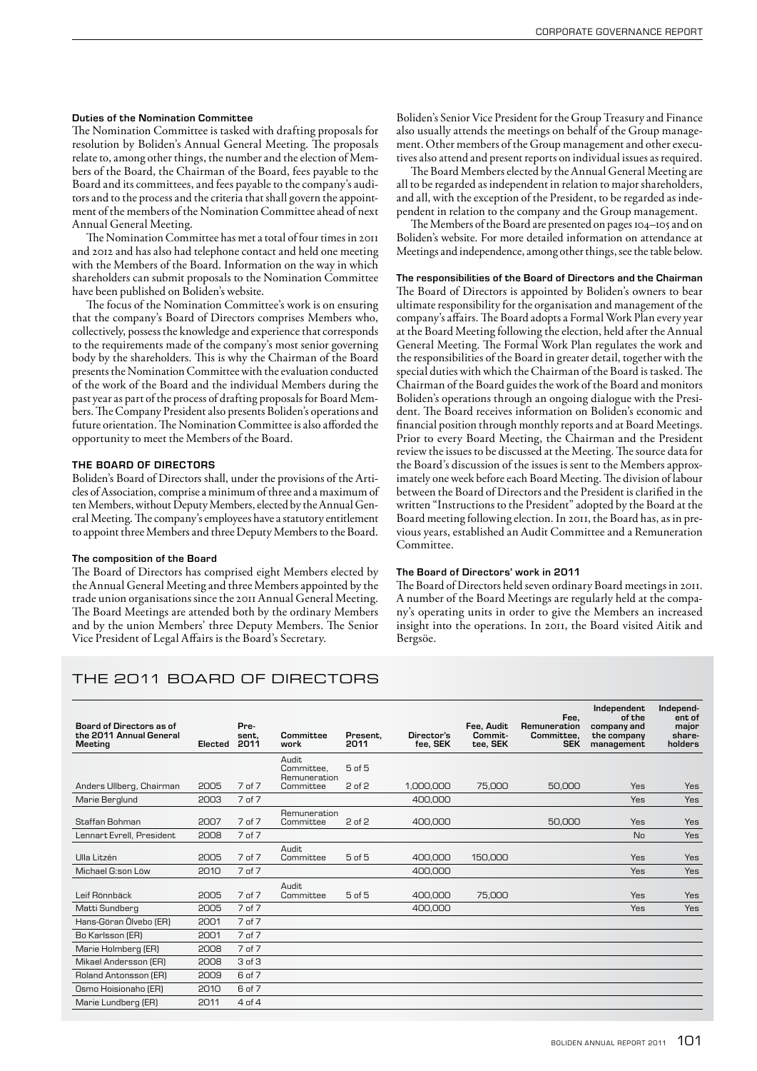#### Duties of the Nomination Committee

The Nomination Committee is tasked with drafting proposals for resolution by Boliden's Annual General Meeting. The proposals relate to, among other things, the number and the election of Members of the Board, the Chairman of the Board, fees payable to the Board and its committees, and fees payable to the company's auditors and to the process and the criteria that shall govern the appointment of the members of the Nomination Committee ahead of next Annual General Meeting.

The Nomination Committee has met a total of four times in 2011 and 2012 and has also had telephone contact and held one meeting with the Members of the Board. Information on the way in which shareholders can submit proposals to the Nomination Committee have been published on Boliden's website.

The focus of the Nomination Committee's work is on ensuring that the company's Board of Directors comprises Members who, collectively, possess the knowledge and experience that corresponds to the requirements made of the company's most senior governing body by the shareholders. This is why the Chairman of the Board presents the Nomination Committee with the evaluation conducted of the work of the Board and the individual Members during the past year as part of the process of drafting proposals for Board Members. The Company President also presents Boliden's operations and future orientation. The Nomination Committee is also afforded the opportunity to meet the Members of the Board.

# THE BOARD OF DIRECTORS

Boliden's Board of Directors shall, under the provisions of the Articles of Association, comprise a minimum of three and a maximum of ten Members, without Deputy Members, elected by the Annual General Meeting. The company's employees have a statutory entitlement to appoint three Members and three Deputy Members to the Board.

#### The composition of the Board

The Board of Directors has comprised eight Members elected by the Annual General Meeting and three Members appointed by the trade union organisations since the 2011 Annual General Meeting. The Board Meetings are attended both by the ordinary Members and by the union Members' three Deputy Members. The Senior Vice President of Legal Affairs is the Board's Secretary.

Boliden's Senior Vice President for the Group Treasury and Finance also usually attends the meetings on behalf of the Group management. Other members of the Group management and other executives also attend and present reports on individual issues as required.

The Board Members elected by the Annual General Meeting are all to be regarded as independent in relation to major shareholders, and all, with the exception of the President, to be regarded as independent in relation to the company and the Group management.

The Members of the Board are presented on pages 104–105 and on Boliden's website. For more detailed information on attendance at Meetings and independence, among other things, see the table below.

#### The responsibilities of the Board of Directors and the Chairman

The Board of Directors is appointed by Boliden's owners to bear ultimate responsibility for the organisation and management of the company's affairs. The Board adopts a Formal Work Plan every year at the Board Meeting following the election, held after the Annual General Meeting. The Formal Work Plan regulates the work and the responsibilities of the Board in greater detail, together with the special duties with which the Chairman of the Board is tasked. The Chairman of the Board guides the work of the Board and monitors Boliden's operations through an ongoing dialogue with the President. The Board receives information on Boliden's economic and financial position through monthly reports and at Board Meetings. Prior to every Board Meeting, the Chairman and the President review the issues to be discussed at the Meeting. The source data for the Board's discussion of the issues is sent to the Members approximately one week before each Board Meeting. The division of labour between the Board of Directors and the President is clarified in the written "Instructions to the President" adopted by the Board at the Board meeting following election. In 2011, the Board has, as in previous years, established an Audit Committee and a Remuneration Committee.

#### The Board of Directors' work in 2011

The Board of Directors held seven ordinary Board meetings in 2011. A number of the Board Meetings are regularly held at the company's operating units in order to give the Members an increased insight into the operations. In 2011, the Board visited Aitik and Bergsöe.

# THE 2011 BOARD OF DIRECTORS

| Board of Directors as of<br>the 2011 Annual General |         | Pre-<br>sent. | Committee                            | Present.          | Director's | Fee, Audit<br>Commit- | Fee.<br>Remuneration<br>Committee. | Independent<br>of the<br>company and<br>the company | Independ-<br>ent of<br>major<br>share- |
|-----------------------------------------------------|---------|---------------|--------------------------------------|-------------------|------------|-----------------------|------------------------------------|-----------------------------------------------------|----------------------------------------|
| <b>Meeting</b>                                      | Elected | 2011          | work                                 | 2011              | fee. SEK   | tee. SEK              | <b>SEK</b>                         | management                                          | holders                                |
|                                                     |         |               | Audit.<br>Committee.<br>Remuneration | $5$ of $5$        |            |                       |                                    |                                                     |                                        |
| Anders Ullberg, Chairman                            | 2005    | 7 of 7        | Committee                            | $2$ of $2$        | 1.000.000  | 75,000                | 50,000                             | Yes                                                 | Yes                                    |
| Marie Berglund                                      | 2003    | 7 of 7        |                                      |                   | 400,000    |                       |                                    | Yes                                                 | Yes                                    |
| Staffan Bohman                                      | 2007    | 7 of 7        | Remuneration<br>Committee            | $2$ of $2$        | 400,000    |                       | 50,000                             | Yes                                                 | Yes                                    |
| Lennart Evrell, President                           | 2008    | 7 of 7        |                                      |                   |            |                       |                                    | <b>No</b>                                           | Yes                                    |
| Ulla Litzén                                         | 2005    | 7 of 7        | <b>Audit</b><br>Committee            | $5$ of $5$        | 400,000    | 150,000               |                                    | Yes                                                 | Yes                                    |
| Michael G:son Löw                                   | 2010    | 7 of 7        |                                      |                   | 400,000    |                       |                                    | Yes                                                 | Yes                                    |
| Leif Rönnbäck                                       | 2005    | 7 of 7        | Audit.<br>Committee                  | 5 <sub>of</sub> 5 | 400,000    | 75,000                |                                    | Yes                                                 | Yes                                    |
| Matti Sundberg                                      | 2005    | 7 of 7        |                                      |                   | 400,000    |                       |                                    | Yes                                                 | <b>Yes</b>                             |
| Hans-Göran Ölvebo (ER)                              | 2001    | 7 of 7        |                                      |                   |            |                       |                                    |                                                     |                                        |
| Bo Karlsson (ER)                                    | 2001    | 7 of 7        |                                      |                   |            |                       |                                    |                                                     |                                        |
| Marie Holmberg (ER)                                 | 2008    | 7 of 7        |                                      |                   |            |                       |                                    |                                                     |                                        |
| Mikael Andersson (ER)                               | 2008    | 3 of 3        |                                      |                   |            |                       |                                    |                                                     |                                        |
| Roland Antonsson (ER)                               | 2009    | 6 of 7        |                                      |                   |            |                       |                                    |                                                     |                                        |
| Osmo Hoisionaho (ER)                                | 2010    | 6 of 7        |                                      |                   |            |                       |                                    |                                                     |                                        |
| Marie Lundberg (ER)                                 | 2011    | 4 of 4        |                                      |                   |            |                       |                                    |                                                     |                                        |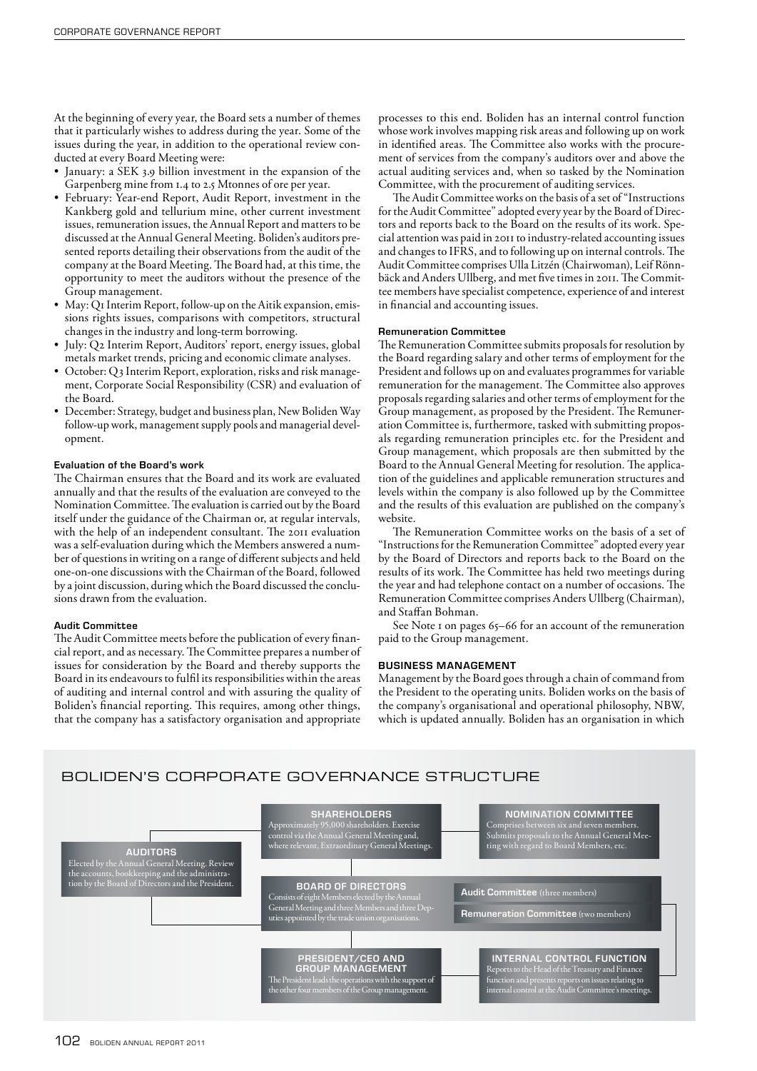At the beginning of every year, the Board sets a number of themes that it particularly wishes to address during the year. Some of the issues during the year, in addition to the operational review conducted at every Board Meeting were:

- January: a SEK 3.9 billion investment in the expansion of the Garpenberg mine from 1.4 to 2.5 Mtonnes of ore per year.
- February: Year-end Report, Audit Report, investment in the Kankberg gold and tellurium mine, other current investment issues, remuneration issues, the Annual Report and matters to be discussed at the Annual General Meeting. Boliden's auditors presented reports detailing their observations from the audit of the company at the Board Meeting. The Board had, at this time, the opportunity to meet the auditors without the presence of the Group management.
- May: Q1 Interim Report, follow-up on the Aitik expansion, emissions rights issues, comparisons with competitors, structural changes in the industry and long-term borrowing.
- July: Q2 Interim Report, Auditors' report, energy issues, global metals market trends, pricing and economic climate analyses.
- October: Q3 Interim Report, exploration, risks and risk management, Corporate Social Responsibility (CSR) and evaluation of the Board.
- December: Strategy, budget and business plan, New Boliden Way follow-up work, management supply pools and managerial development.

#### Evaluation of the Board's work

The Chairman ensures that the Board and its work are evaluated annually and that the results of the evaluation are conveyed to the Nomination Committee. The evaluation is carried out by the Board itself under the guidance of the Chairman or, at regular intervals, with the help of an independent consultant. The 2011 evaluation was a self-evaluation during which the Members answered a number of questions in writing on a range of different subjects and held one-on-one discussions with the Chairman of the Board, followed by a joint discussion, during which the Board discussed the conclusions drawn from the evaluation.

#### Audit Committee

The Audit Committee meets before the publication of every financial report, and as necessary. The Committee prepares a number of issues for consideration by the Board and thereby supports the Board in its endeavours to fulfil its responsibilities within the areas of auditing and internal control and with assuring the quality of Boliden's financial reporting. This requires, among other things, that the company has a satisfactory organisation and appropriate

processes to this end. Boliden has an internal control function whose work involves mapping risk areas and following up on work in identified areas. The Committee also works with the procurement of services from the company's auditors over and above the actual auditing services and, when so tasked by the Nomination Committee, with the procurement of auditing services.

The Audit Committee works on the basis of a set of "Instructions for the Audit Committee" adopted every year by the Board of Directors and reports back to the Board on the results of its work. Special attention was paid in 2011 to industry-related accounting issues and changes to IFRS, and to following up on internal controls. The Audit Committee comprises Ulla Litzén (Chairwoman), Leif Rönnbäck and Anders Ullberg, and met five times in 2011. The Committee members have specialist competence, experience of and interest in financial and accounting issues.

#### Remuneration Committee

The Remuneration Committee submits proposals for resolution by the Board regarding salary and other terms of employment for the President and follows up on and evaluates programmes for variable remuneration for the management. The Committee also approves proposals regarding salaries and other terms of employment for the Group management, as proposed by the President. The Remuneration Committee is, furthermore, tasked with submitting proposals regarding remuneration principles etc. for the President and Group management, which proposals are then submitted by the Board to the Annual General Meeting for resolution. The application of the guidelines and applicable remuneration structures and levels within the company is also followed up by the Committee and the results of this evaluation are published on the company's website.

The Remuneration Committee works on the basis of a set of "Instructions for the Remuneration Committee" adopted every year by the Board of Directors and reports back to the Board on the results of its work. The Committee has held two meetings during the year and had telephone contact on a number of occasions. The Remuneration Committee comprises Anders Ullberg (Chairman), and Staffan Bohman.

See Note 1 on pages 65-66 for an account of the remuneration paid to the Group management.

# BUSINESS MANAGEMENT

Management by the Board goes through a chain of command from the President to the operating units. Boliden works on the basis of the company's organisational and operational philosophy, NBW, which is updated annually. Boliden has an organisation in which

# BOLIDEN'S CORPORATE GOVERNANCE STRUCTURE